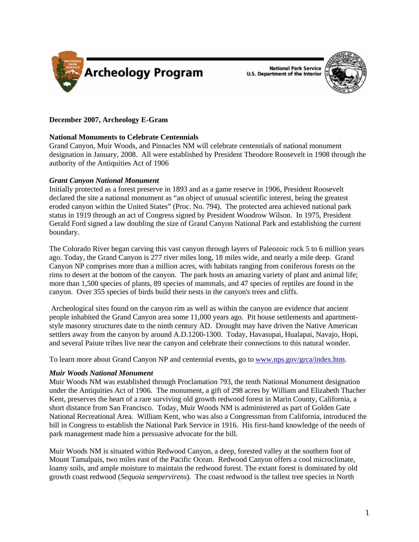



# **December 2007, Archeology E-Gram**

# **National Monuments to Celebrate Centennials**

Grand Canyon, Muir Woods, and Pinnacles NM will celebrate centennials of national monument designation in January, 2008. All were established by President Theodore Roosevelt in 1908 through the authority of the Antiquities Act of 1906

#### *Grant Canyon National Monument*

Initially protected as a forest preserve in 1893 and as a game reserve in 1906, President Roosevelt declared the site a national monument as "an object of unusual scientific interest, being the greatest eroded canyon within the United States" (Proc. No. 794). The protected area achieved national park status in 1919 through an act of Congress signed by President Woodrow Wilson. In 1975, President Gerald Ford signed a law doubling the size of Grand Canyon National Park and establishing the current boundary.

The Colorado River began carving this vast canyon through layers of Paleozoic rock 5 to 6 million years ago. Today, the Grand Canyon is 277 river miles long, 18 miles wide, and nearly a mile deep. Grand Canyon NP comprises more than a million acres, with habitats ranging from coniferous forests on the rims to desert at the bottom of the canyon. The park hosts an amazing variety of plant and animal life; more than 1,500 species of plants, 89 species of mammals, and 47 species of reptiles are found in the canyon. Over 355 species of birds build their nests in the canyon's trees and cliffs.

 Archeological sites found on the canyon rim as well as within the canyon are evidence that ancient people inhabited the Grand Canyon area some 11,000 years ago. Pit house settlements and apartmentstyle masonry structures date to the ninth century AD. Drought may have driven the Native American settlers away from the canyon by around A.D.1200-1300. Today, Havasupai, Hualapai, Navajo, Hopi, and several Paiute tribes live near the canyon and celebrate their connections to this natural wonder.

To learn more about Grand Canyon NP and centennial events, go to [www.nps.gov/grca/index.htm.](http://www.nps.gov/grca/index.htm)

# *Muir Woods National Monument*

Muir Woods NM was established through Proclamation 793, the tenth National Monument designation under the Antiquities Act of 1906. The monument, a gift of 298 acres by William and Elizabeth Thacher Kent, preserves the heart of a rare surviving old growth redwood forest in Marin County, California, a short distance from San Francisco. Today, Muir Woods NM is administered as part of Golden Gate National Recreational Area. William Kent, who was also a Congressman from California, introduced the bill in Congress to establish the National Park Service in 1916. His first-hand knowledge of the needs of park management made him a persuasive advocate for the bill.

Muir Woods NM is situated within Redwood Canyon, a deep, forested valley at the southern foot of Mount Tamalpais, two miles east of the Pacific Ocean. Redwood Canyon offers a cool microclimate, loamy soils, and ample moisture to maintain the redwood forest. The extant forest is dominated by old growth coast redwood (*Sequoia sempervirens*). The coast redwood is the tallest tree species in North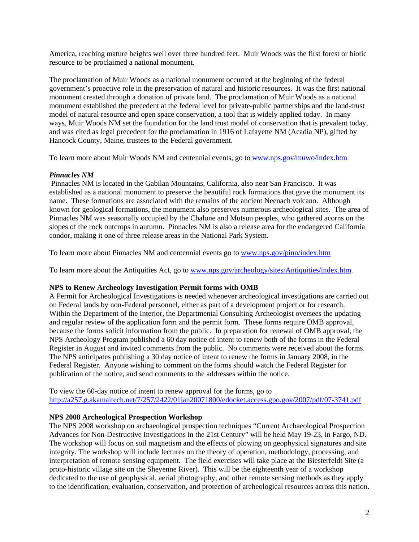America, reaching mature heights well over three hundred feet. Muir Woods was the first forest or biotic resource to be proclaimed a national monument.

The proclamation of Muir Woods as a national monument occurred at the beginning of the federal government's proactive role in the preservation of natural and historic resources. It was the first national monument created through a donation of private land. The proclamation of Muir Woods as a national monument established the precedent at the federal level for private-public partnerships and the land-trust model of natural resource and open space conservation, a tool that is widely applied today. In many ways, Muir Woods NM set the foundation for the land trust model of conservation that is prevalent today, and was cited as legal precedent for the proclamation in 1916 of Lafayette NM (Acadia NP), gifted by Hancock County, Maine, trustees to the Federal government.

To learn more about Muir Woods NM and centennial events, go to [www.nps.gov/muwo/index.htm](http://www.nps.gov/muwo/index.htm)

# *Pinnacles NM*

 Pinnacles NM is located in the Gabilan Mountains, California, also near San Francisco. It was established as a national monument to preserve the beautiful rock formations that gave the monument its name. These formations are associated with the remains of the ancient Neenach volcano. Although known for geological formations, the monument also preserves numerous archeological sites. The area of Pinnacles NM was seasonally occupied by the Chalone and Mutsun peoples, who gathered acorns on the slopes of the rock outcrops in autumn. Pinnacles NM is also a release area for the endangered California condor, making it one of three release areas in the National Park System.

To learn more about Pinnacles NM and centennial events go to [www.nps.gov/pinn/index.htm](http://www.nps.gov/pinn/index.htm)

To learn more about the Antiquities Act, go to [www.nps.gov/archeology/sites/Antiquities/index.htm](http://www.nps.gov/archeology/sites/Antiquities/index.htm).

# **NPS to Renew Archeology Investigation Permit forms with OMB**

A Permit for Archeological Investigations is needed whenever archeological investigations are carried out on Federal lands by non-Federal personnel, either as part of a development project or for research. Within the Department of the Interior, the Departmental Consulting Archeologist oversees the updating and regular review of the application form and the permit form. These forms require OMB approval, because the forms solicit information from the public. In preparation for renewal of OMB approval, the NPS Archeology Program published a 60 day notice of intent to renew both of the forms in the Federal Register in August and invited comments from the public. No comments were received about the forms. The NPS anticipates publishing a 30 day notice of intent to renew the forms in January 2008, in the Federal Register. Anyone wishing to comment on the forms should watch the Federal Register for publication of the notice, and send comments to the addresses within the notice.

To view the 60-day notice of intent to renew approval for the forms, go to <http://a257.g.akamaitech.net/7/257/2422/01jan20071800/edocket.access.gpo.gov/2007/pdf/07-3741.pdf>

# **NPS 2008 Archeological Prospection Workshop**

The NPS 2008 workshop on archaeological prospection techniques "Current Archaeological Prospection Advances for Non-Destructive Investigations in the 21st Century" will be held May 19-23, in Fargo, ND. The workshop will focus on soil magnetism and the effects of plowing on geophysical signatures and site integrity. The workshop will include lectures on the theory of operation, methodology, processing, and interpretation of remote sensing equipment. The field exercises will take place at the Biesterfeldt Site (a proto-historic village site on the Sheyenne River). This will be the eighteenth year of a workshop dedicated to the use of geophysical, aerial photography, and other remote sensing methods as they apply to the identification, evaluation, conservation, and protection of archeological resources across this nation.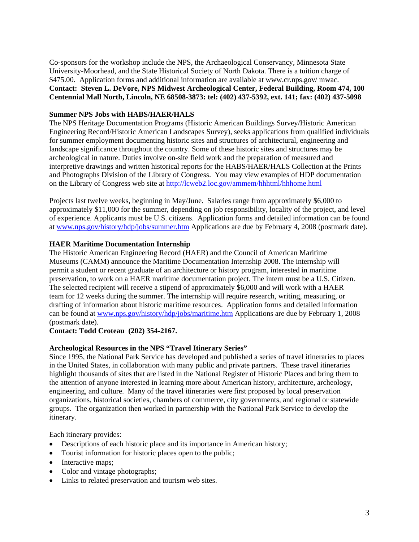Co-sponsors for the workshop include the NPS, the Archaeological Conservancy, Minnesota State University-Moorhead, and the State Historical Society of North Dakota. There is a tuition charge of \$475.00. Application forms and additional information are available at www.cr.nps.gov/mwac. **Contact: Steven L. DeVore, NPS Midwest Archeological Center, Federal Building, Room 474, 100 Centennial Mall North, Lincoln, NE 68508-3873: tel: (402) 437-5392, ext. 141; fax: (402) 437-5098** 

## **Summer NPS Jobs with HABS/HAER/HALS**

The NPS Heritage Documentation Programs (Historic American Buildings Survey/Historic American Engineering Record/Historic American Landscapes Survey), seeks applications from qualified individuals for summer employment documenting historic sites and structures of architectural, engineering and landscape significance throughout the country. Some of these historic sites and structures may be archeological in nature. Duties involve on-site field work and the preparation of measured and interpretive drawings and written historical reports for the HABS/HAER/HALS Collection at the Prints and Photographs Division of the Library of Congress. You may view examples of HDP documentation on the Library of Congress web site at<http://lcweb2.loc.gov/ammem/hhhtml/hhhome.html>

Projects last twelve weeks, beginning in May/June. Salaries range from approximately \$6,000 to approximately \$11,000 for the summer, depending on job responsibility, locality of the project, and level of experience. Applicants must be U.S. citizens. Application forms and detailed information can be found at [www.nps.gov/history/hdp/jobs/summer.htm](http://www.nps.gov/history/hdp/jobs/summer.htm) Applications are due by February 4, 2008 (postmark date).

#### **HAER Maritime Documentation Internship**

The Historic American Engineering Record (HAER) and the Council of American Maritime Museums (CAMM) announce the Maritime Documentation Internship 2008. The internship will permit a student or recent graduate of an architecture or history program, interested in maritime preservation, to work on a HAER maritime documentation project. The intern must be a U.S. Citizen. The selected recipient will receive a stipend of approximately \$6,000 and will work with a HAER team for 12 weeks during the summer. The internship will require research, writing, measuring, or drafting of information about historic maritime resources. Application forms and detailed information can be found at [www.nps.gov/history/hdp/jobs/maritime.htm](http://www.nps.gov/history/hdp/jobs/maritime.htm) Applications are due by February 1, 2008 (postmark date).

# **Contact: Todd Croteau (202) 354-2167.**

## **Archeological Resources in the NPS "Travel Itinerary Series"**

Since 1995, the National Park Service has developed and published a series of travel itineraries to places in the United States, in collaboration with many public and private partners. These travel itineraries highlight thousands of sites that are listed in the National Register of Historic Places and bring them to the attention of anyone interested in learning more about American history, architecture, archeology, engineering, and culture. Many of the travel itineraries were first proposed by local preservation organizations, historical societies, chambers of commerce, city governments, and regional or statewide groups. The organization then worked in partnership with the National Park Service to develop the itinerary.

Each itinerary provides:

- Descriptions of each historic place and its importance in American history;
- Tourist information for historic places open to the public;
- Interactive maps;
- Color and vintage photographs;
- Links to related preservation and tourism web sites.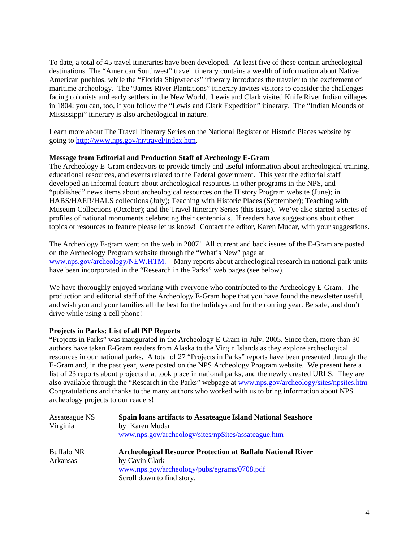To date, a total of 45 travel itineraries have been developed. At least five of these contain archeological destinations. The "American Southwest" travel itinerary contains a wealth of information about Native American pueblos, while the "Florida Shipwrecks" itinerary introduces the traveler to the excitement of maritime archeology. The "James River Plantations" itinerary invites visitors to consider the challenges facing colonists and early settlers in the New World. Lewis and Clark visited Knife River Indian villages in 1804; you can, too, if you follow the "Lewis and Clark Expedition" itinerary. The "Indian Mounds of Mississippi" itinerary is also archeological in nature.

Learn more about The Travel Itinerary Series on the National Register of Historic Places website by going to<http://www.nps.gov/nr/travel/index.htm>.

# **Message from Editorial and Production Staff of Archeology E-Gram**

The Archeology E-Gram endeavors to provide timely and useful information about archeological training, educational resources, and events related to the Federal government. This year the editorial staff developed an informal feature about archeological resources in other programs in the NPS, and "published" news items about archeological resources on the History Program website (June); in HABS/HAER/HALS collections (July); Teaching with Historic Places (September); Teaching with Museum Collections (October); and the Travel Itinerary Series (this issue). We've also started a series of profiles of national monuments celebrating their centennials. If readers have suggestions about other topics or resources to feature please let us know! Contact the editor, Karen Mudar, with your suggestions.

The Archeology E-gram went on the web in 2007! All current and back issues of the E-Gram are posted on the Archeology Program website through the "What's New" page at [www.nps.gov/archeology/NEW.HTM](http://www.nps.gov/archeology/NEW.HTM). Many reports about archeological research in national park units have been incorporated in the "Research in the Parks" web pages (see below).

We have thoroughly enjoyed working with everyone who contributed to the Archeology E-Gram. The production and editorial staff of the Archeology E-Gram hope that you have found the newsletter useful, and wish you and your families all the best for the holidays and for the coming year. Be safe, and don't drive while using a cell phone!

# **Projects in Parks: List of all PiP Reports**

"Projects in Parks" was inaugurated in the Archeology E-Gram in July, 2005. Since then, more than 30 authors have taken E-Gram readers from Alaska to the Virgin Islands as they explore archeological resources in our national parks. A total of 27 "Projects in Parks" reports have been presented through the E-Gram and, in the past year, were posted on the NPS Archeology Program website. We present here a list of 23 reports about projects that took place in national parks, and the newly created URLS. They are also available through the "Research in the Parks" webpage at [www.nps.gov/archeology/sites/npsites.htm](http://www.nps.gov/archeology/sites/npsites.htm) Congratulations and thanks to the many authors who worked with us to bring information about NPS archeology projects to our readers!

| Assateague NS<br>Virginia     | Spain loans artifacts to Assateague Island National Seashore<br>by Karen Mudar<br>www.nps.gov/archeology/sites/npSites/assateague.htm                             |
|-------------------------------|-------------------------------------------------------------------------------------------------------------------------------------------------------------------|
| <b>Buffalo NR</b><br>Arkansas | <b>Archeological Resource Protection at Buffalo National River</b><br>by Cavin Clark<br>www.nps.gov/archeology/pubs/egrams/0708.pdf<br>Scroll down to find story. |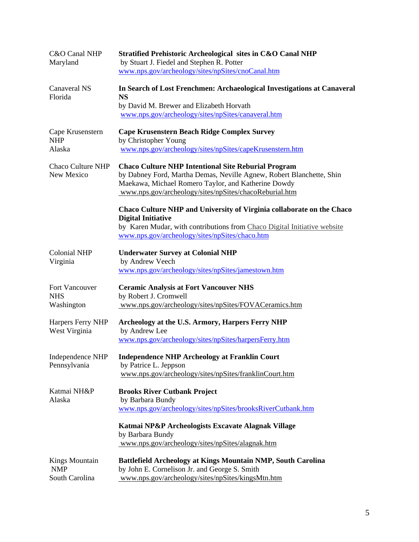| C&O Canal NHP                                  | Stratified Prehistoric Archeological sites in C&O Canal NHP                                                                                                                                                                                         |
|------------------------------------------------|-----------------------------------------------------------------------------------------------------------------------------------------------------------------------------------------------------------------------------------------------------|
| Maryland                                       | by Stuart J. Fiedel and Stephen R. Potter                                                                                                                                                                                                           |
|                                                | www.nps.gov/archeology/sites/npSites/cnoCanal.htm                                                                                                                                                                                                   |
| <b>Canaveral NS</b><br>Florida                 | In Search of Lost Frenchmen: Archaeological Investigations at Canaveral<br><b>NS</b><br>by David M. Brewer and Elizabeth Horvath<br>www.nps.gov/archeology/sites/npSites/canaveral.htm                                                              |
| Cape Krusenstern<br><b>NHP</b><br>Alaska       | <b>Cape Krusenstern Beach Ridge Complex Survey</b><br>by Christopher Young<br>www.nps.gov/archeology/sites/npSites/capeKrusenstern.htm                                                                                                              |
| <b>Chaco Culture NHP</b><br>New Mexico         | <b>Chaco Culture NHP Intentional Site Reburial Program</b><br>by Dabney Ford, Martha Demas, Neville Agnew, Robert Blanchette, Shin<br>Maekawa, Michael Romero Taylor, and Katherine Dowdy<br>www.nps.gov/archeology/sites/npSites/chacoReburial.htm |
|                                                | Chaco Culture NHP and University of Virginia collaborate on the Chaco<br><b>Digital Initiative</b><br>by Karen Mudar, with contributions from Chaco Digital Initiative website<br>www.nps.gov/archeology/sites/npSites/chaco.htm                    |
| <b>Colonial NHP</b><br>Virginia                | <b>Underwater Survey at Colonial NHP</b><br>by Andrew Veech<br>www.nps.gov/archeology/sites/npSites/jamestown.htm                                                                                                                                   |
| Fort Vancouver<br><b>NHS</b><br>Washington     | <b>Ceramic Analysis at Fort Vancouver NHS</b><br>by Robert J. Cromwell<br>www.nps.gov/archeology/sites/npSites/FOVACeramics.htm                                                                                                                     |
| Harpers Ferry NHP<br>West Virginia             | Archeology at the U.S. Armory, Harpers Ferry NHP<br>by Andrew Lee<br>www.nps.gov/archeology/sites/npSites/harpersFerry.htm                                                                                                                          |
| Pennsylvania                                   | Independence NHP Independence NHP Archeology at Franklin Court<br>by Patrice L. Jeppson<br>www.nps.gov/archeology/sites/npSites/franklinCourt.htm                                                                                                   |
| Katmai NH&P<br>Alaska                          | <b>Brooks River Cutbank Project</b><br>by Barbara Bundy<br>www.nps.gov/archeology/sites/npSites/brooksRiverCutbank.htm                                                                                                                              |
|                                                | Katmai NP&P Archeologists Excavate Alagnak Village<br>by Barbara Bundy<br>www.nps.gov/archeology/sites/npSites/alagnak.htm                                                                                                                          |
| Kings Mountain<br><b>NMP</b><br>South Carolina | Battlefield Archeology at Kings Mountain NMP, South Carolina<br>by John E. Cornelison Jr. and George S. Smith<br>www.nps.gov/archeology/sites/npSites/kingsMtn.htm                                                                                  |